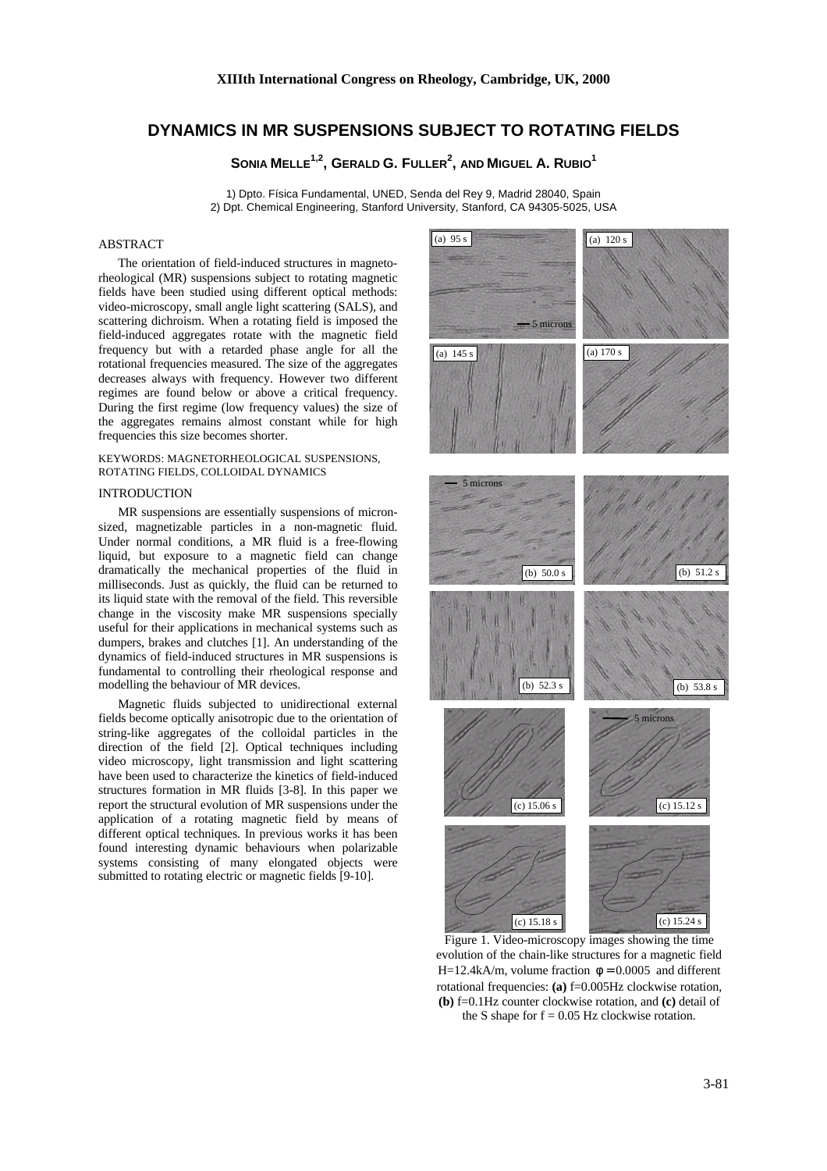# **DYNAMICS IN MR SUSPENSIONS SUBJECT TO ROTATING FIELDS**

**SONIA MELLE1,2, GERALD G. FULLER<sup>2</sup> , AND MIGUEL A. RUBIO<sup>1</sup>**

1) Dpto. Física Fundamental, UNED, Senda del Rey 9, Madrid 28040, Spain 2) Dpt. Chemical Engineering, Stanford University, Stanford, CA 94305-5025, USA

## ABSTRACT

The orientation of field-induced structures in magnetorheological (MR) suspensions subject to rotating magnetic fields have been studied using different optical methods: video-microscopy, small angle light scattering (SALS), and scattering dichroism. When a rotating field is imposed the field-induced aggregates rotate with the magnetic field frequency but with a retarded phase angle for all the rotational frequencies measured. The size of the aggregates decreases always with frequency. However two different regimes are found below or above a critical frequency. During the first regime (low frequency values) the size of the aggregates remains almost constant while for high frequencies this size becomes shorter.

#### KEYWORDS: MAGNETORHEOLOGICAL SUSPENSIONS, ROTATING FIELDS, COLLOIDAL DYNAMICS

#### **INTRODUCTION**

MR suspensions are essentially suspensions of micronsized, magnetizable particles in a non-magnetic fluid. Under normal conditions, a MR fluid is a free-flowing liquid, but exposure to a magnetic field can change dramatically the mechanical properties of the fluid in milliseconds. Just as quickly, the fluid can be returned to its liquid state with the removal of the field. This reversible change in the viscosity make MR suspensions specially useful for their applications in mechanical systems such as dumpers, brakes and clutches [1]. An understanding of the dynamics of field-induced structures in MR suspensions is fundamental to controlling their rheological response and modelling the behaviour of MR devices.

Magnetic fluids subjected to unidirectional external fields become optically anisotropic due to the orientation of string-like aggregates of the colloidal particles in the direction of the field [2]. Optical techniques including video microscopy, light transmission and light scattering have been used to characterize the kinetics of field-induced structures formation in MR fluids [3-8]. In this paper we report the structural evolution of MR suspensions under the application of a rotating magnetic field by means of different optical techniques. In previous works it has been found interesting dynamic behaviours when polarizable systems consisting of many elongated objects were submitted to rotating electric or magnetic fields [9-10].



Figure 1. Video-microscopy images showing the time evolution of the chain-like structures for a magnetic field H=12.4kA/m, volume fraction  $\phi = 0.0005$  and different rotational frequencies: **(a)** f=0.005Hz clockwise rotation, **(b)** f=0.1Hz counter clockwise rotation, and **(c)** detail of the S shape for  $f = 0.05$  Hz clockwise rotation.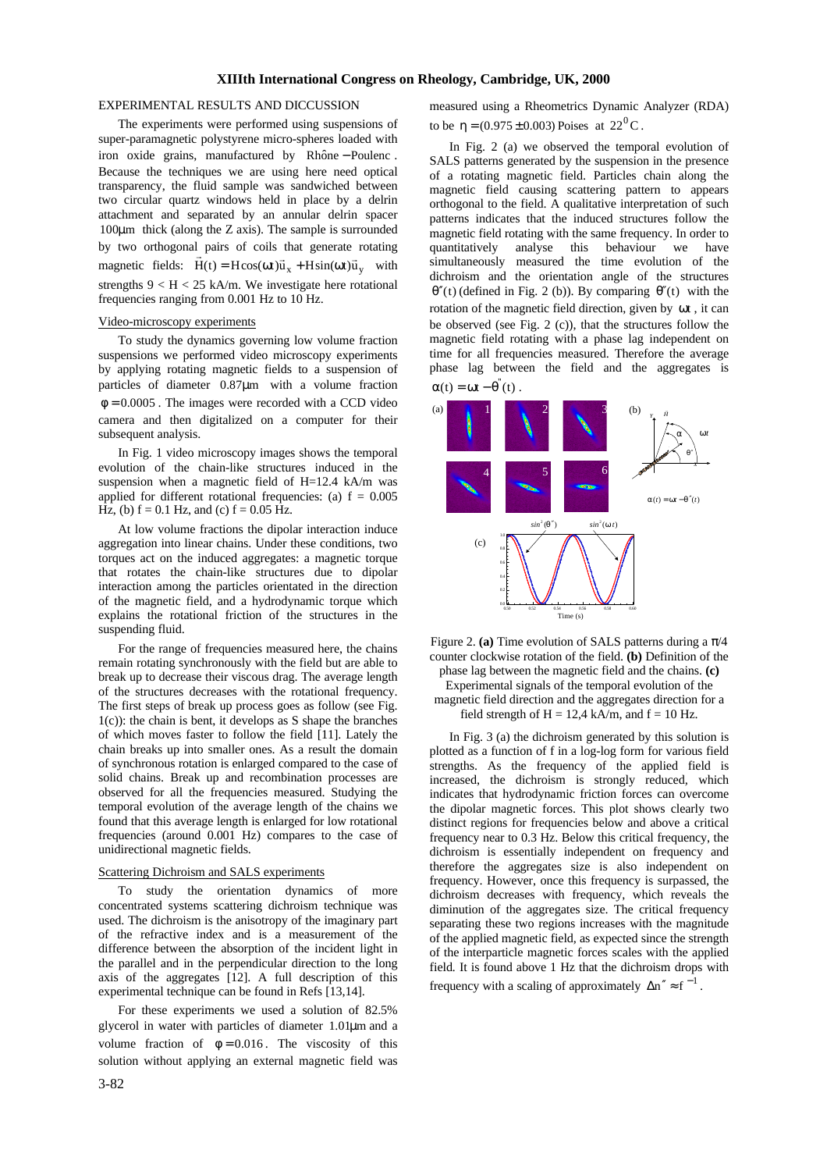### **XIIIth International Congress on Rheology, Cambridge, UK, 2000**

#### EXPERIMENTAL RESULTS AND DICCUSSION

The experiments were performed using suspensions of super-paramagnetic polystyrene micro-spheres loaded with iron oxide grains, manufactured by Rhône – Poulenc. Because the techniques we are using here need optical transparency, the fluid sample was sandwiched between two circular quartz windows held in place by a delrin attachment and separated by an annular delrin spacer 100μm thick (along the Z axis). The sample is surrounded by two orthogonal pairs of coils that generate rotating magnetic fields:  $\vec{H}(t) = H\cos(\omega t)\vec{u}_x + H\sin(\omega t)\vec{u}_y$  with strengths  $9 < H < 25$  kA/m. We investigate here rotational frequencies ranging from 0.001 Hz to 10 Hz.

#### Video-microscopy experiments

To study the dynamics governing low volume fraction suspensions we performed video microscopy experiments by applying rotating magnetic fields to a suspension of particles of diameter 0.87μm with a volume fraction  $\phi = 0.0005$ . The images were recorded with a CCD video camera and then digitalized on a computer for their subsequent analysis.

In Fig. 1 video microscopy images shows the temporal evolution of the chain-like structures induced in the suspension when a magnetic field of H=12.4 kA/m was applied for different rotational frequencies: (a)  $f = 0.005$ Hz, (b)  $f = 0.1$  Hz, and (c)  $f = 0.05$  Hz.

At low volume fractions the dipolar interaction induce aggregation into linear chains. Under these conditions, two torques act on the induced aggregates: a magnetic torque that rotates the chain-like structures due to dipolar interaction among the particles orientated in the direction of the magnetic field, and a hydrodynamic torque which explains the rotational friction of the structures in the suspending fluid.

For the range of frequencies measured here, the chains remain rotating synchronously with the field but are able to break up to decrease their viscous drag. The average length of the structures decreases with the rotational frequency. The first steps of break up process goes as follow (see Fig. 1(c)): the chain is bent, it develops as S shape the branches of which moves faster to follow the field [11]. Lately the chain breaks up into smaller ones. As a result the domain of synchronous rotation is enlarged compared to the case of solid chains. Break up and recombination processes are observed for all the frequencies measured. Studying the temporal evolution of the average length of the chains we found that this average length is enlarged for low rotational frequencies (around 0.001 Hz) compares to the case of unidirectional magnetic fields.

#### Scattering Dichroism and SALS experiments

To study the orientation dynamics of more concentrated systems scattering dichroism technique was used. The dichroism is the anisotropy of the imaginary part of the refractive index and is a measurement of the difference between the absorption of the incident light in the parallel and in the perpendicular direction to the long axis of the aggregates [12]. A full description of this experimental technique can be found in Refs [13,14].

For these experiments we used a solution of 82.5% glycerol in water with particles of diameter 1.01μm and a volume fraction of  $\phi = 0.016$ . The viscosity of this solution without applying an external magnetic field was measured using a Rheometrics Dynamic Analyzer (RDA) to be  $\eta = (0.975 \pm 0.003)$  Poises at  $22^{0}$ C.

In Fig. 2 (a) we observed the temporal evolution of SALS patterns generated by the suspension in the presence of a rotating magnetic field. Particles chain along the magnetic field causing scattering pattern to appears orthogonal to the field. A qualitative interpretation of such patterns indicates that the induced structures follow the magnetic field rotating with the same frequency. In order to quantitatively analyse this behaviour we have simultaneously measured the time evolution of the dichroism and the orientation angle of the structures  $\theta''(t)$  (defined in Fig. 2 (b)). By comparing  $\theta''(t)$  with the rotation of the magnetic field direction, given by ωt , it can be observed (see Fig. 2 (c)), that the structures follow the magnetic field rotating with a phase lag independent on time for all frequencies measured. Therefore the average phase lag between the field and the aggregates is



Figure 2. (a) Time evolution of SALS patterns during a  $\pi/4$ counter clockwise rotation of the field. **(b)** Definition of the phase lag between the magnetic field and the chains. **(c)** Experimental signals of the temporal evolution of the magnetic field direction and the aggregates direction for a field strength of  $H = 12.4$  kA/m, and  $f = 10$  Hz.

In Fig. 3 (a) the dichroism generated by this solution is plotted as a function of f in a log-log form for various field strengths. As the frequency of the applied field is increased, the dichroism is strongly reduced*,* which indicates that hydrodynamic friction forces can overcome the dipolar magnetic forces. This plot shows clearly two distinct regions for frequencies below and above a critical frequency near to 0.3 Hz. Below this critical frequency, the dichroism is essentially independent on frequency and therefore the aggregates size is also independent on frequency. However, once this frequency is surpassed, the dichroism decreases with frequency, which reveals the diminution of the aggregates size. The critical frequency separating these two regions increases with the magnitude of the applied magnetic field*,* as expected since the strength of the interparticle magnetic forces scales with the applied field*.* It is found above 1 Hz that the dichroism drops with frequency with a scaling of approximately  $\Delta n'' \approx f^{-1}$ .